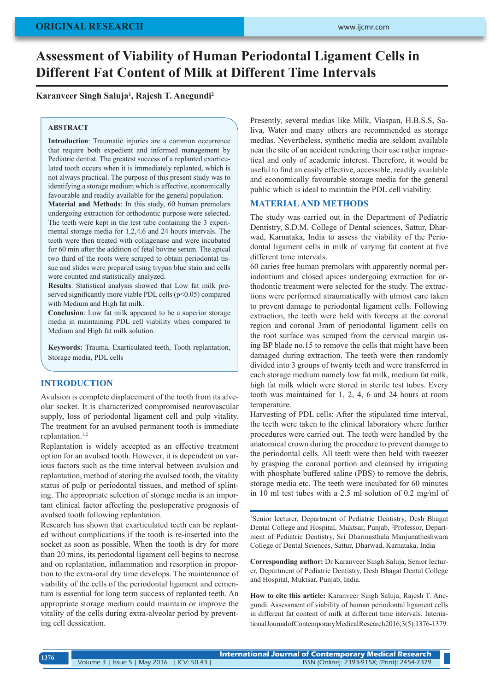# **Assessment of Viability of Human Periodontal Ligament Cells in Different Fat Content of Milk at Different Time Intervals**

**Karanveer Singh Saluja1 , Rajesh T. Anegundi2**

#### **ABSTRACT**

**Introduction**: Traumatic injuries are a common occurrence that require both expedient and informed management by Pediatric dentist. The greatest success of a replanted exarticulated tooth occurs when it is immediately replanted, which is not always practical. The purpose of this present study was to identifying a storage medium which is effective, economically favourable and readily available for the general population.

**Material and Methods**: In this study, 60 human premolars undergoing extraction for orthodontic purpose were selected. The teeth were kept in the test tube containing the 3 experimental storage media for 1,2,4,6 and 24 hours intervals. The teeth were then treated with collagenase and were incubated for 60 min after the addition of fetal bovine serum. The apical two third of the roots were scraped to obtain periodontal tissue and slides were prepared using trypan blue stain and cells were counted and statistically analyzed.

**Results**: Statistical analysis showed that Low fat milk preserved significantly more viable PDL cells (p<0.05) compared with Medium and High fat milk.

**Conclusion**: Low fat milk appeared to be a superior storage media in maintaining PDL cell viability when compared to Medium and High fat milk solution.

**Keywords:** Trauma, Exarticulated teeth, Tooth replantation, Storage media, PDL cells

## **INTRODUCTION**

Avulsion is complete displacement of the tooth from its alveolar socket. It is characterized compromised neurovascular supply, loss of periodontal ligament cell and pulp vitality. The treatment for an avulsed permanent tooth is immediate replantation.1,2

Replantation is widely accepted as an effective treatment option for an avulsed tooth. However, it is dependent on various factors such as the time interval between avulsion and replantation, method of storing the avulsed tooth, the vitality status of pulp or periodontal tissues, and method of splinting. The appropriate selection of storage media is an important clinical factor affecting the postoperative prognosis of avulsed tooth following replantation.

Research has shown that exarticulated teeth can be replanted without complications if the tooth is re-inserted into the socket as soon as possible. When the tooth is dry for more than 20 mins, its periodontal ligament cell begins to necrose and on replantation, inflammation and resorption in proportion to the extra-oral dry time develops. The maintenance of viability of the cells of the periodontal ligament and cementum is essential for long term success of replanted teeth. An appropriate storage medium could maintain or improve the vitality of the cells during extra-alveolar period by preventing cell dessication.

Presently, several medias like Milk, Viaspan, H.B.S.S, Saliva, Water and many others are recommended as storage medias. Nevertheless, synthetic media are seldom available near the site of an accident rendering their use rather impractical and only of academic interest. Therefore, it would be useful to find an easily effective, accessible, readily available and economically favourable storage media for the general public which is ideal to maintain the PDL cell viability.

#### **MATERIAL AND METHODS**

The study was carried out in the Department of Pediatric Dentistry, S.D.M. College of Dental sciences, Sattur, Dharwad, Karnataka, India to assess the viability of the Periodontal ligament cells in milk of varying fat content at five different time intervals.

60 caries free human premolars with apparently normal periodontium and closed apices undergoing extraction for orthodontic treatment were selected for the study. The extractions were performed atraumatically with utmost care taken to prevent damage to periodontal ligament cells. Following extraction, the teeth were held with forceps at the coronal region and coronal 3mm of periodontal ligament cells on the root surface was scraped from the cervical margin using BP blade no.15 to remove the cells that might have been damaged during extraction. The teeth were then randomly divided into 3 groups of twenty teeth and were transferred in each storage medium namely low fat milk, medium fat milk, high fat milk which were stored in sterile test tubes. Every tooth was maintained for 1, 2, 4, 6 and 24 hours at room temperature.

Harvesting of PDL cells: After the stipulated time interval, the teeth were taken to the clinical laboratory where further procedures were carried out. The teeth were handled by the anatomical crown during the procedure to prevent damage to the periodontal cells. All teeth were then held with tweezer by grasping the coronal portion and cleansed by irrigating with phosphate buffered saline (PBS) to remove the debris, storage media etc. The teeth were incubated for 60 minutes in 10 ml test tubes with a 2.5 ml solution of 0.2 mg/ml of

1 Senior lecturer, Department of Pediatric Dentistry, Desh Bhagat Dental College and Hospital, Muktsar, Punjab, <sup>2</sup> Professor, Department of Pediatric Dentistry, Sri Dharmasthala Manjunatheshwara College of Dental Sciences, Sattur, Dharwad, Karnataka, India

**Corresponding author:** Dr Karanveer Singh Saluja, Senior lecturer, Department of Pediatric Dentistry, Desh Bhagat Dental College and Hospital, Muktsar, Punjab, India.

**How to cite this article:** Karanveer Singh Saluja, Rajesh T. Anegundi. Assessment of viability of human periodontal ligament cells in different fat content of milk at different time intervals. International Journal of Contemporary Medical Research 2016;3(5):1376-1379.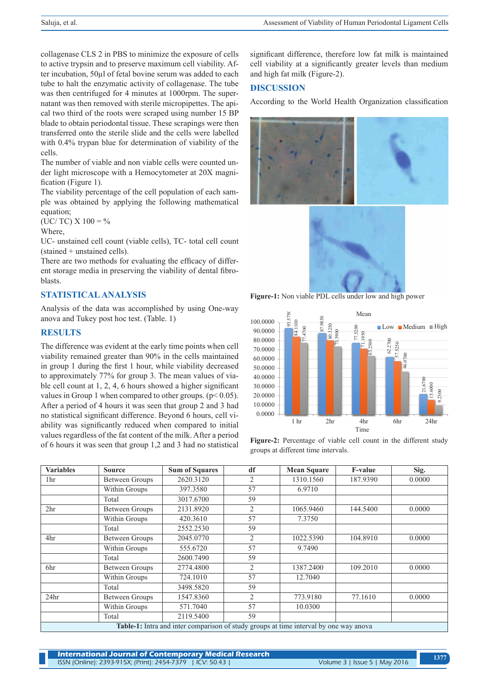collagenase CLS 2 in PBS to minimize the exposure of cells to active trypsin and to preserve maximum cell viability. After incubation, 50µl of fetal bovine serum was added to each tube to halt the enzymatic activity of collagenase. The tube was then centrifuged for 4 minutes at 1000rpm. The supernatant was then removed with sterile micropipettes. The apical two third of the roots were scraped using number 15 BP blade to obtain periodontal tissue. These scrapings were then transferred onto the sterile slide and the cells were labelled with 0.4% trypan blue for determination of viability of the cells.

The number of viable and non viable cells were counted under light microscope with a Hemocytometer at 20X magnification (Figure 1).

The viability percentage of the cell population of each sample was obtained by applying the following mathematical equation;

(UC/ TC)  $X$  100 = %

Where,

UC- unstained cell count (viable cells), TC- total cell count (stained + unstained cells).

There are two methods for evaluating the efficacy of different storage media in preserving the viability of dental fibroblasts.

# **STATISTICAL ANALYSIS**

Analysis of the data was accomplished by using One-way anova and Tukey post hoc test. (Table. 1)

## **RESULTS**

The difference was evident at the early time points when cell viability remained greater than 90% in the cells maintained in group 1 during the first 1 hour, while viability decreased to approximately 77% for group 3. The mean values of viable cell count at 1, 2, 4, 6 hours showed a higher significant values in Group 1 when compared to other groups.  $(p< 0.05)$ . After a period of 4 hours it was seen that group 2 and 3 had no statistical significant difference. Beyond 6 hours, cell viability was significantly reduced when compared to initial values regardless of the fat content of the milk. After a period of 6 hours it was seen that group 1,2 and 3 had no statistical significant difference, therefore low fat milk is maintained cell viability at a significantly greater levels than medium and high fat milk (Figure-2).

## **DISCUSSION**

According to the World Health Organization classification





**Figure-1:** Non viable PDL cells under low and high power



**Figure-2:** Percentage of viable cell count in the different study groups at different time intervals.

| <b>Variables</b> | <b>Source</b>         | <b>Sum of Squares</b> | df             | <b>Mean Square</b>                                                                    | <b>F-value</b> | Sig.   |
|------------------|-----------------------|-----------------------|----------------|---------------------------------------------------------------------------------------|----------------|--------|
| 1hr              | <b>Between Groups</b> | 2620.3120             | $\overline{2}$ | 1310.1560                                                                             | 187.9390       | 0.0000 |
|                  | Within Groups         | 397.3580              | 57             | 6.9710                                                                                |                |        |
|                  | Total                 | 3017.6700             | 59             |                                                                                       |                |        |
| 2 <sup>hr</sup>  | <b>Between Groups</b> | 2131.8920             | 2              | 1065.9460                                                                             | 144.5400       | 0.0000 |
|                  | Within Groups         | 420.3610              | 57             | 7.3750                                                                                |                |        |
|                  | Total                 | 2552.2530             | 59             |                                                                                       |                |        |
| 4hr              | <b>Between Groups</b> | 2045.0770             | 2              | 1022.5390                                                                             | 104.8910       | 0.0000 |
|                  | Within Groups         | 555.6720              | 57             | 9.7490                                                                                |                |        |
|                  | Total                 | 2600.7490             | 59             |                                                                                       |                |        |
| 6hr              | <b>Between Groups</b> | 2774.4800             | $\overline{2}$ | 1387.2400                                                                             | 109.2010       | 0.0000 |
|                  | Within Groups         | 724.1010              | 57             | 12.7040                                                                               |                |        |
|                  | Total                 | 3498.5820             | 59             |                                                                                       |                |        |
| 24 <sub>hr</sub> | <b>Between Groups</b> | 1547.8360             | 2              | 773.9180                                                                              | 77.1610        | 0.0000 |
|                  | Within Groups         | 571.7040              | 57             | 10.0300                                                                               |                |        |
|                  | Total                 | 2119.5400             | 59             |                                                                                       |                |        |
|                  |                       |                       |                | Table-1: Intra and inter comparison of study groups at time interval by one way anova |                |        |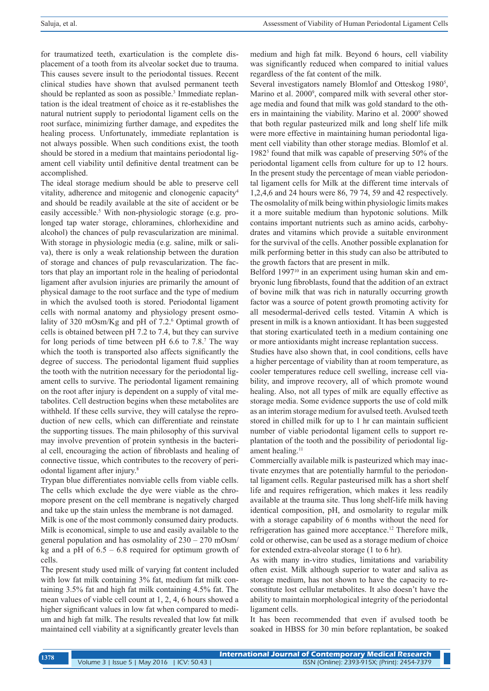for traumatized teeth, exarticulation is the complete displacement of a tooth from its alveolar socket due to trauma. This causes severe insult to the periodontal tissues. Recent clinical studies have shown that avulsed permanent teeth should be replanted as soon as possible.<sup>3</sup> Immediate replantation is the ideal treatment of choice as it re-establishes the natural nutrient supply to periodontal ligament cells on the root surface, minimizing further damage, and expedites the healing process. Unfortunately, immediate replantation is not always possible. When such conditions exist, the tooth should be stored in a medium that maintains periodontal ligament cell viability until definitive dental treatment can be accomplished.

The ideal storage medium should be able to preserve cell vitality, adherence and mitogenic and clonogenic capacity4 and should be readily available at the site of accident or be easily accessible.<sup>5</sup> With non-physiologic storage (e.g. prolonged tap water storage, chloramines, chlorhexidine and alcohol) the chances of pulp revascularization are minimal. With storage in physiologic media (e.g. saline, milk or saliva), there is only a weak relationship between the duration of storage and chances of pulp revascularization. The factors that play an important role in the healing of periodontal ligament after avulsion injuries are primarily the amount of physical damage to the root surface and the type of medium in which the avulsed tooth is stored. Periodontal ligament cells with normal anatomy and physiology present osmolality of 320 mOsm/Kg and pH of 7.2.<sup>6</sup> Optimal growth of cells is obtained between pH 7.2 to 7.4, but they can survive for long periods of time between pH 6.6 to 7.8.7 The way which the tooth is transported also affects significantly the degree of success. The periodontal ligament fluid supplies the tooth with the nutrition necessary for the periodontal ligament cells to survive. The periodontal ligament remaining on the root after injury is dependent on a supply of vital metabolites. Cell destruction begins when these metabolites are withheld. If these cells survive, they will catalyse the reproduction of new cells, which can differentiate and reinstate the supporting tissues. The main philosophy of this survival may involve prevention of protein synthesis in the bacterial cell, encouraging the action of fibroblasts and healing of connective tissue, which contributes to the recovery of periodontal ligament after injury.<sup>8</sup>

Trypan blue differentiates nonviable cells from viable cells. The cells which exclude the dye were viable as the chromopore present on the cell membrane is negatively charged and take up the stain unless the membrane is not damaged.

Milk is one of the most commonly consumed dairy products. Milk is economical, simple to use and easily available to the general population and has osmolality of 230 – 270 mOsm/ kg and a pH of  $6.5 - 6.8$  required for optimum growth of cells.

The present study used milk of varying fat content included with low fat milk containing 3% fat, medium fat milk containing 3.5% fat and high fat milk containing 4.5% fat. The mean values of viable cell count at 1, 2, 4, 6 hours showed a higher significant values in low fat when compared to medium and high fat milk. The results revealed that low fat milk maintained cell viability at a significantly greater levels than

medium and high fat milk. Beyond 6 hours, cell viability was significantly reduced when compared to initial values regardless of the fat content of the milk.

Several investigators namely Blomlof and Otteskog 1980<sup>5</sup>, Marino et al. 2000<sup>9</sup>, compared milk with several other storage media and found that milk was gold standard to the others in maintaining the viability. Marino et al. 2000<sup>9</sup> showed that both regular pasteurized milk and long shelf life milk were more effective in maintaining human periodontal ligament cell viability than other storage medias. Blomlof et al. 1982<sup>5</sup> found that milk was capable of preserving 50% of the periodontal ligament cells from culture for up to 12 hours. In the present study the percentage of mean viable periodontal ligament cells for Milk at the different time intervals of 1,2,4,6 and 24 hours were 86, 79 74, 59 and 42 respectively. The osmolality of milk being within physiologic limits makes it a more suitable medium than hypotonic solutions. Milk contains important nutrients such as amino acids, carbohydrates and vitamins which provide a suitable environment for the survival of the cells. Another possible explanation for milk performing better in this study can also be attributed to the growth factors that are present in milk.

Belford 1997<sup>10</sup> in an experiment using human skin and embryonic lung fibroblasts, found that the addition of an extract of bovine milk that was rich in naturally occurring growth factor was a source of potent growth promoting activity for all mesodermal-derived cells tested. Vitamin A which is present in milk is a known antioxidant. It has been suggested that storing exarticulated teeth in a medium containing one or more antioxidants might increase replantation success.

Studies have also shown that, in cool conditions, cells have a higher percentage of viability than at room temperature, as cooler temperatures reduce cell swelling, increase cell viability, and improve recovery, all of which promote wound healing. Also, not all types of milk are equally effective as storage media. Some evidence supports the use of cold milk as an interim storage medium for avulsed teeth. Avulsed teeth stored in chilled milk for up to 1 hr can maintain sufficient number of viable periodontal ligament cells to support replantation of the tooth and the possibility of periodontal ligament healing.<sup>11</sup>

Commercially available milk is pasteurized which may inactivate enzymes that are potentially harmful to the periodontal ligament cells. Regular pasteurised milk has a short shelf life and requires refrigeration, which makes it less readily available at the trauma site. Thus long shelf-life milk having identical composition, pH, and osmolarity to regular milk with a storage capability of 6 months without the need for refrigeration has gained more acceptance.12 Therefore milk, cold or otherwise, can be used as a storage medium of choice for extended extra-alveolar storage (1 to 6 hr).

As with many in-vitro studies, limitations and variability often exist. Milk although superior to water and saliva as storage medium, has not shown to have the capacity to reconstitute lost cellular metabolites. It also doesn't have the ability to maintain morphological integrity of the periodontal ligament cells.

It has been recommended that even if avulsed tooth be soaked in HBSS for 30 min before replantation, be soaked